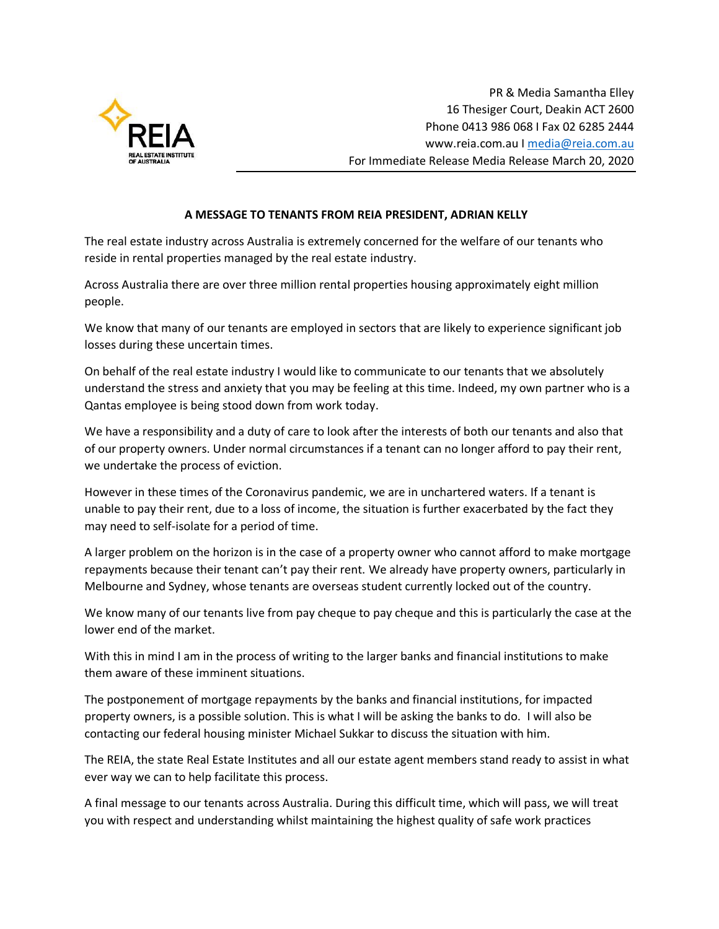

PR & Media Samantha Elley 16 Thesiger Court, Deakin ACT 2600 Phone 0413 986 068 I Fax 02 6285 2444 www.reia.com.au I [media@reia.com.au](mailto:media@reia.com.au) For Immediate Release Media Release March 20, 2020

## **A MESSAGE TO TENANTS FROM REIA PRESIDENT, ADRIAN KELLY**

The real estate industry across Australia is extremely concerned for the welfare of our tenants who reside in rental properties managed by the real estate industry.

Across Australia there are over three million rental properties housing approximately eight million people.

We know that many of our tenants are employed in sectors that are likely to experience significant job losses during these uncertain times.

On behalf of the real estate industry I would like to communicate to our tenants that we absolutely understand the stress and anxiety that you may be feeling at this time. Indeed, my own partner who is a Qantas employee is being stood down from work today.

We have a responsibility and a duty of care to look after the interests of both our tenants and also that of our property owners. Under normal circumstances if a tenant can no longer afford to pay their rent, we undertake the process of eviction.

However in these times of the Coronavirus pandemic, we are in unchartered waters. If a tenant is unable to pay their rent, due to a loss of income, the situation is further exacerbated by the fact they may need to self-isolate for a period of time.

A larger problem on the horizon is in the case of a property owner who cannot afford to make mortgage repayments because their tenant can't pay their rent. We already have property owners, particularly in Melbourne and Sydney, whose tenants are overseas student currently locked out of the country.

We know many of our tenants live from pay cheque to pay cheque and this is particularly the case at the lower end of the market.

With this in mind I am in the process of writing to the larger banks and financial institutions to make them aware of these imminent situations.

The postponement of mortgage repayments by the banks and financial institutions, for impacted property owners, is a possible solution. This is what I will be asking the banks to do. I will also be contacting our federal housing minister Michael Sukkar to discuss the situation with him.

The REIA, the state Real Estate Institutes and all our estate agent members stand ready to assist in what ever way we can to help facilitate this process.

A final message to our tenants across Australia. During this difficult time, which will pass, we will treat you with respect and understanding whilst maintaining the highest quality of safe work practices